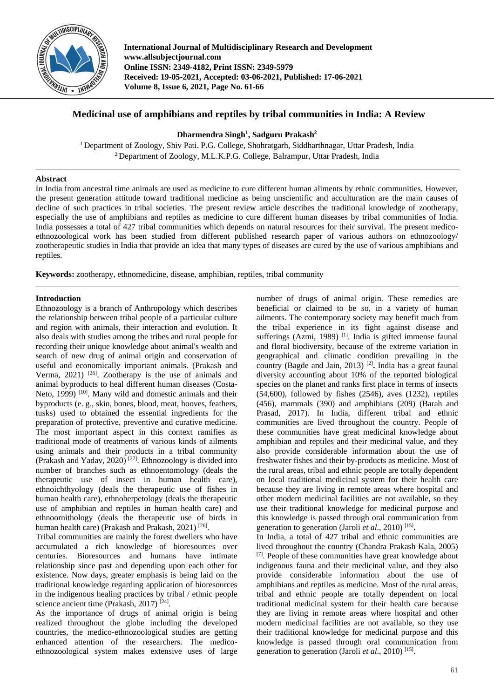

**International Journal of Multidisciplinary Research and Development www.allsubjectjournal.com Online ISSN: 2349-4182, Print ISSN: 2349-5979 Received: 19-05-2021, Accepted: 03-06-2021, Published: 17-06-2021 Volume 8, Issue 6, 2021, Page No. 61-66**

# **Medicinal use of amphibians and reptiles by tribal communities in India: A Review**

**Dharmendra Singh<sup>1</sup> , Sadguru Prakash<sup>2</sup>**

<sup>1</sup> Department of Zoology, Shiv Pati. P.G. College, Shohratgarh, Siddharthnagar, Uttar Pradesh, India <sup>2</sup> Department of Zoology, M.L.K.P.G. College, Balrampur, Uttar Pradesh, India

## **Abstract**

In India from ancestral time animals are used as medicine to cure different human aliments by ethnic communities. However, the present generation attitude toward traditional medicine as being unscientific and acculturation are the main causes of decline of such practices in tribal societies. The present review article describes the traditional knowledge of zootherapy, especially the use of amphibians and reptiles as medicine to cure different human diseases by tribal communities of India. India possesses a total of 427 tribal communities which depends on natural resources for their survival. The present medicoethnozoological work has been studied from different published research paper of various authors on ethnozoology/ zootherapeutic studies in India that provide an idea that many types of diseases are cured by the use of various amphibians and reptiles.

**Keywords:** zootherapy, ethnomedicine, disease, amphibian, reptiles, tribal community

#### **Introduction**

Ethnozoology is a branch of Anthropology which describes the relationship between tribal people of a particular culture and region with animals, their interaction and evolution. It also deals with studies among the tribes and rural people for recording their unique knowledge about animal's wealth and search of new drug of animal origin and conservation of useful and economically important animals. (Prakash and Verma,  $2021$ )<sup>[26]</sup>. Zootherapy is the use of animals and animal byproducts to heal different human diseases (Costa-Neto, 1999) <sup>[10]</sup>. Many wild and domestic animals and their byproducts (e. g., skin, bones, blood, meat, hooves, feathers, tusks) used to obtained the essential ingredients for the preparation of protective, preventive and curative medicine. The most important aspect in this context ramifies as traditional mode of treatments of various kinds of ailments using animals and their products in a tribal community (Prakash and Yadav, 2020)<sup>[27]</sup>. Ethnozoology is divided into number of branches such as ethnoentomology (deals the therapeutic use of insect in human health care), ethnoichthyology (deals the therapeutic use of fishes in human health care), ethnoherpetology (deals the therapeutic use of amphibian and reptiles in human health care) and ethnoornithology (deals the therapeutic use of birds in human health care) (Prakash and Prakash, 2021)<sup>[26]</sup>.

Tribal communities are mainly the forest dwellers who have accumulated a rich knowledge of bioresources over centuries. Bioresources and humans have intimate relationship since past and depending upon each other for existence. Now days, greater emphasis is being laid on the traditional knowledge regarding application of bioresources in the indigenous healing practices by tribal / ethnic people science ancient time (Prakash, 2017)<sup>[24]</sup>.

As the importance of drugs of animal origin is being realized throughout the globe including the developed countries, the medico-ethnozoological studies are getting enhanced attention of the researchers. The medicoethnozoological system makes extensive uses of large number of drugs of animal origin. These remedies are beneficial or claimed to be so, in a variety of human ailments. The contemporary society may benefit much from the tribal experience in its fight against disease and sufferings (Azmi, 1989)<sup>[1]</sup>. India is gifted immense faunal and floral biodiversity, because of the extreme variation in geographical and climatic condition prevailing in the country (Bagde and Jain, 2013) [2] **.** India has a great faunal diversity accounting about 10% of the reported biological species on the planet and ranks first place in terms of insects (54,600), followed by fishes (2546), aves (1232), reptiles (456), mammals (390) and amphibians (209) (Barah and Prasad, 2017). In India, different tribal and ethnic communities are lived throughout the country. People of these communities have great medicinal knowledge about amphibian and reptiles and their medicinal value, and they also provide considerable information about the use of freshwater fishes and their by-products as medicine. Most of the rural areas, tribal and ethnic people are totally dependent on local traditional medicinal system for their health care because they are living in remote areas where hospital and other modern medicinal facilities are not available, so they use their traditional knowledge for medicinal purpose and this knowledge is passed through oral communication from generation to generation (Jaroli *et al*., 2010) [15] **.**

In India, a total of 427 tribal and ethnic communities are lived throughout the country (Chandra Prakash Kala, 2005) [7]. People of these communities have great knowledge about indigenous fauna and their medicinal value, and they also provide considerable information about the use of amphibians and reptiles as medicine. Most of the rural areas, tribal and ethnic people are totally dependent on local traditional medicinal system for their health care because they are living in remote areas where hospital and other modern medicinal facilities are not available, so they use their traditional knowledge for medicinal purpose and this knowledge is passed through oral communication from generation to generation (Jaroli *et al.*, 2010)<sup>[15]</sup>.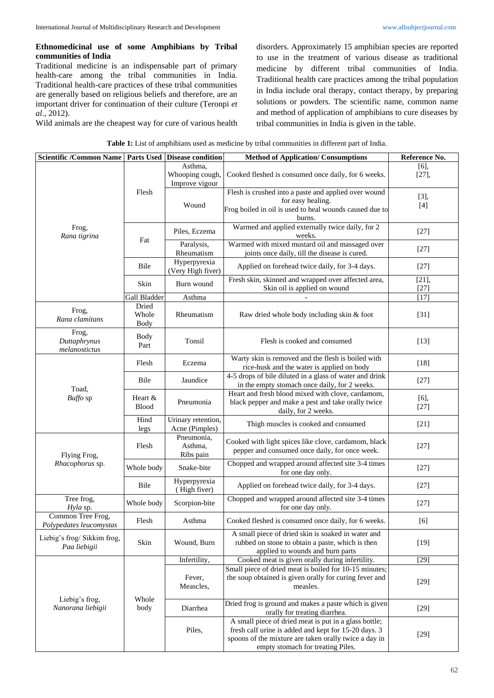# **Ethnomedicinal use of some Amphibians by Tribal communities of India**

Traditional medicine is an indispensable part of primary health-care among the tribal communities in India. Traditional health-care practices of these tribal communities are generally based on religious beliefs and therefore, are an important driver for continuation of their culture (Teronpi *et al*., 2012).

Wild animals are the cheapest way for cure of various health

disorders. Approximately 15 amphibian species are reported to use in the treatment of various disease as traditional medicine by different tribal communities of India. Traditional health care practices among the tribal population in India include oral therapy, contact therapy, by preparing solutions or powders. The scientific name, common name and method of application of amphibians to cure diseases by tribal communities in India is given in the table.

|  | <b>Table 1:</b> List of amphibians used as medicine by tribal communities in different part of India. |  |
|--|-------------------------------------------------------------------------------------------------------|--|
|--|-------------------------------------------------------------------------------------------------------|--|

| Scientific /Common Name   Parts Used   Disease condition |                               |                                              | <b>Method of Application/Consumptions</b>                                                                                                                                                                   | Reference No.       |
|----------------------------------------------------------|-------------------------------|----------------------------------------------|-------------------------------------------------------------------------------------------------------------------------------------------------------------------------------------------------------------|---------------------|
|                                                          | Flesh                         | Asthma,<br>Whooping cough,<br>Improve vigour | Cooked fleshed is consumed once daily, for 6 weeks.                                                                                                                                                         | $[6]$ ,<br>$[27]$ , |
|                                                          |                               | Wound                                        | Flesh is crushed into a paste and applied over wound<br>for easy healing.<br>Frog boiled in oil is used to heal wounds caused due to<br>burns.                                                              | [3],<br>$[4]$       |
| Frog,<br>Rana tigrina                                    | Fat                           | Piles, Eczema                                | Warmed and applied externally twice daily, for 2<br>weeks.                                                                                                                                                  | $[27]$              |
|                                                          |                               | Paralysis,<br>Rheumatism                     | Warmed with mixed mustard oil and massaged over<br>joints once daily, till the disease is cured.                                                                                                            | $[27]$              |
|                                                          | Bile                          | Hyperpyrexia<br>(Very High fiver)            | Applied on forehead twice daily, for 3-4 days.                                                                                                                                                              | $[27]$              |
|                                                          | Skin                          | Burn wound                                   | Fresh skin, skinned and wrapped over affected area,<br>Skin oil is applied on wound                                                                                                                         | $[21]$ ,<br>$[27]$  |
|                                                          | Gall Bladder                  | Asthma                                       |                                                                                                                                                                                                             | $[17]$              |
| Frog,<br>Rana clamitans                                  | Dried<br>Whole<br><b>Body</b> | Rheumatism                                   | Raw dried whole body including skin & foot                                                                                                                                                                  | $[31]$              |
| Frog,<br>Duttaphrynus<br>melanostictus                   | <b>Body</b><br>Part           | Tonsil                                       | Flesh is cooked and consumed                                                                                                                                                                                | $[13]$              |
| Toad,<br>Buffo sp                                        | Flesh                         | Eczema                                       | Warty skin is removed and the flesh is boiled with<br>rice-husk and the water is applied on body                                                                                                            | $[18]$              |
|                                                          | Bile                          | Jaundice                                     | 4-5 drops of bile diluted in a glass of water and drink<br>in the empty stomach once daily, for 2 weeks.                                                                                                    | $[27]$              |
|                                                          | Heart &<br><b>Blood</b>       | Pneumonia                                    | Heart and fresh blood mixed with clove, cardamom,<br>black pepper and make a pest and take orally twice<br>daily, for 2 weeks.                                                                              | $[6]$ ,<br>$[27]$   |
|                                                          | Hind<br>legs                  | Urinary retention,<br>Acne (Pimples)         | Thigh muscles is cooked and consumed                                                                                                                                                                        | $[21]$              |
| Flying Frog,                                             | Flesh                         | Pneumonia,<br>Asthma,<br>Ribs pain           | Cooked with light spices like clove, cardamom, black<br>pepper and consumed once daily, for once week.                                                                                                      | $[27]$              |
| Rhacophorus sp.                                          | Whole body                    | Snake-bite                                   | Chopped and wrapped around affected site 3-4 times<br>for one day only.                                                                                                                                     | $[27]$              |
|                                                          | Bile                          | Hyperpyrexia<br>(High fiver)                 | Applied on forehead twice daily, for 3-4 days.                                                                                                                                                              | $[27]$              |
| Tree frog,<br>Hyla sp.                                   | Whole body                    | Scorpion-bite                                | Chopped and wrapped around affected site 3-4 times<br>for one day only.                                                                                                                                     | $[27]$              |
| Common Tree Frog,<br>Polypedates leucomystas             | Flesh                         | Asthma                                       | Cooked fleshed is consumed once daily, for 6 weeks.                                                                                                                                                         | [6]                 |
| Liebig's frog/ Sikkim frog,<br>Paa liebigii              | Skin                          | Wound, Burn                                  | A small piece of dried skin is soaked in water and<br>rubbed on stone to obtain a paste, which is then<br>applied to wounds and burn parts                                                                  | $[19]$              |
|                                                          |                               | Infertility,                                 | Cooked meat is given orally during infertility.                                                                                                                                                             | $[29]$              |
| Liebig's frog,<br>Nanorana liebigii                      | Whole<br>body                 | Fever,<br>Meascles,                          | Small piece of dried meat is boiled for 10-15 minutes;<br>the soup obtained is given orally for curing fever and<br>measles.                                                                                | $[29]$              |
|                                                          |                               | Diarrhea                                     | Dried frog is ground and makes a paste which is given<br>orally for treating diarrhea.                                                                                                                      | $[29]$              |
|                                                          |                               | Piles,                                       | A small piece of dried meat is put in a glass bottle;<br>fresh calf urine is added and kept for 15-20 days. 3<br>spoons of the mixture are taken orally twice a day in<br>empty stomach for treating Piles. | $[29]$              |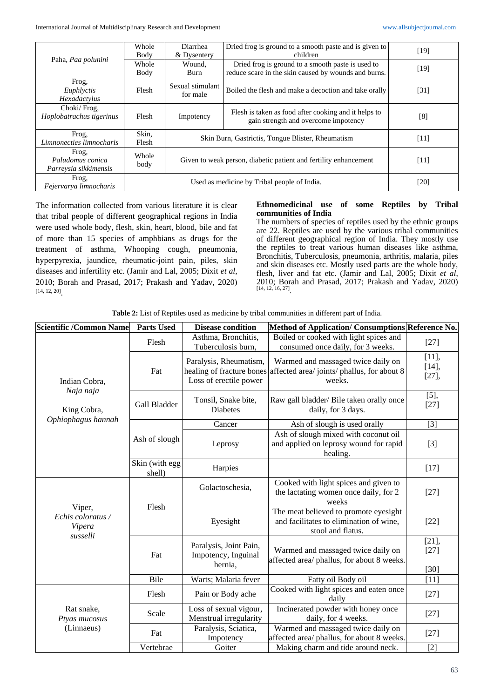International Journal of Multidisciplinary Research and Development [www.allsubjectjournal.com](http://www.allsubjectjournal.com/)

| Paha, Paa polunini                                 | Whole<br>Body                               | Diarrhea<br>& Dysentery                                          | Dried frog is ground to a smooth paste and is given to<br>children                                        | [19]   |
|----------------------------------------------------|---------------------------------------------|------------------------------------------------------------------|-----------------------------------------------------------------------------------------------------------|--------|
|                                                    | Whole<br>Body                               | Wound.<br>Burn                                                   | Dried frog is ground to a smooth paste is used to<br>reduce scare in the skin caused by wounds and burns. | [19]   |
| Frog,<br>Euphlyctis<br>Hexadactylus                | Flesh                                       | Sexual stimulant<br>for male                                     | Boiled the flesh and make a decoction and take orally                                                     | [31]   |
| Choki/Frog,<br>Hoplobatrachus tigerinus            | Flesh                                       | Impotency                                                        | Flesh is taken as food after cooking and it helps to<br>gain strength and overcome impotency              | [8]    |
| Frog.<br>Limnonecties limnocharis                  | Skin,<br>Flesh                              | Skin Burn, Gastrictis, Tongue Blister, Rheumatism                |                                                                                                           | $[11]$ |
| Frog,<br>Paludomus conica<br>Parreysia sikkimensis | Whole<br>body                               | Given to weak person, diabetic patient and fertility enhancement |                                                                                                           | [11]   |
| Frog,<br>Fejervarya limnocharis                    | Used as medicine by Tribal people of India. |                                                                  |                                                                                                           | [20]   |

The information collected from various literature it is clear that tribal people of different geographical regions in India were used whole body, flesh, skin, heart, blood, bile and fat of more than 15 species of amphbians as drugs for the treatment of asthma, Whooping cough, pneumonia, hyperpyrexia, jaundice, rheumatic-joint pain, piles, skin diseases and infertility etc. (Jamir and Lal, 2005; Dixit *et al*, 2010; Borah and Prasad, 2017; Prakash and Yadav, 2020) [14, 12, 20] .

#### **Ethnomedicinal use of some Reptiles by Tribal communities of India**

The numbers of species of reptiles used by the ethnic groups are 22. Reptiles are used by the various tribal communities of different geographical region of India. They mostly use the reptiles to treat various human diseases like asthma, Bronchitis, Tuberculosis, pneumonia, arthritis, malaria, piles and skin diseases etc. Mostly used parts are the whole body, flesh, liver and fat etc. (Jamir and Lal, 2005; Dixit *et al*, 2010; Borah and Prasad, 2017; Prakash and Yadav, 2020) [14, 12, 16, 27] .

**Table 2:** List of Reptiles used as medicine by tribal communities in different part of India.

| <b>Scientific /Common Name</b>                    | <b>Parts Used</b>        | <b>Disease condition</b>                                                      | Method of Application/Consumptions Reference No.                                                      |                              |
|---------------------------------------------------|--------------------------|-------------------------------------------------------------------------------|-------------------------------------------------------------------------------------------------------|------------------------------|
| Indian Cobra,<br>Naja naja<br>King Cobra,         | Flesh                    | Asthma, Bronchitis,<br>Tuberculosis burn,                                     | Boiled or cooked with light spices and<br>consumed once daily, for 3 weeks.                           | $[27]$                       |
|                                                   | Fat                      | Paralysis, Rheumatism,<br>healing of fracture bones<br>Loss of erectile power | Warmed and massaged twice daily on<br>affected area/joints/phallus, for about 8<br>weeks.             | [11],<br>[14]<br>$[27]$ ,    |
|                                                   | Gall Bladder             | Tonsil, Snake bite,<br>Diabetes                                               | Raw gall bladder/ Bile taken orally once<br>daily, for 3 days.                                        | $[5]$ ,<br>$[27]$            |
| Ophiophagus hannah                                | Ash of slough            | Cancer                                                                        | Ash of slough is used orally                                                                          | $[3]$                        |
|                                                   |                          | Leprosy                                                                       | Ash of slough mixed with coconut oil<br>and applied on leprosy wound for rapid<br>healing.            | $[3]$                        |
|                                                   | Skin (with egg<br>shell) | Harpies                                                                       |                                                                                                       | $[17]$                       |
| Viper,<br>Echis coloratus /<br>Vipera<br>susselli |                          | Golactoschesia,                                                               | Cooked with light spices and given to<br>the lactating women once daily, for 2<br>weeks               | $[27]$                       |
|                                                   | Flesh                    | Eyesight                                                                      | The meat believed to promote eyesight<br>and facilitates to elimination of wine,<br>stool and flatus. | $[22]$                       |
|                                                   | Fat                      | Paralysis, Joint Pain,<br>Impotency, Inguinal<br>hernia,                      | Warmed and massaged twice daily on<br>affected area/ phallus, for about 8 weeks.                      | $[21]$ ,<br>$[27]$<br>$[30]$ |
|                                                   | Bile                     | Warts; Malaria fever                                                          | Fatty oil Body oil                                                                                    | [11]                         |
| Rat snake,<br>Ptyas mucosus<br>(Linnaeus)         | Flesh                    | Pain or Body ache                                                             | Cooked with light spices and eaten once<br>daily                                                      | $[27]$                       |
|                                                   | Scale                    | Loss of sexual vigour,<br>Menstrual irregularity                              | Incinerated powder with honey once<br>daily, for 4 weeks.                                             | $[27]$                       |
|                                                   | Fat                      | Paralysis, Sciatica,<br>Impotency                                             | Warmed and massaged twice daily on<br>affected area/ phallus, for about 8 weeks.                      | $[27]$                       |
|                                                   | Vertebrae                | Goiter                                                                        | Making charm and tide around neck.                                                                    | $[2]$                        |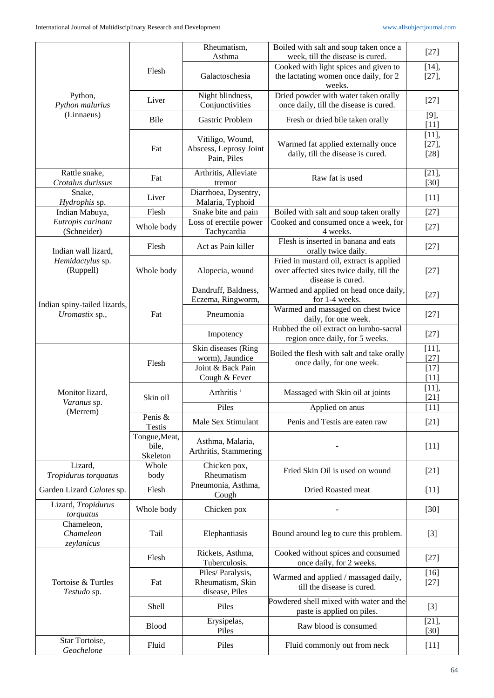|                                                |                                    | Rheumatism,<br>Asthma                                     | Boiled with salt and soup taken once a<br>week, till the disease is cured.                                 | $[27]$                         |
|------------------------------------------------|------------------------------------|-----------------------------------------------------------|------------------------------------------------------------------------------------------------------------|--------------------------------|
| Python,<br>Python malurius                     | Flesh                              |                                                           | Cooked with light spices and given to                                                                      | [14]                           |
|                                                |                                    | Galactoschesia                                            | the lactating women once daily, for 2<br>weeks.                                                            | $[27]$ ,                       |
|                                                | Liver                              | Night blindness,<br>Conjunctivities                       | Dried powder with water taken orally<br>once daily, till the disease is cured.                             | $[27]$                         |
| (Linnaeus)                                     | Bile                               | Gastric Problem                                           | Fresh or dried bile taken orally                                                                           | $[9]$ ,<br>$[11]$              |
|                                                | Fat                                | Vitiligo, Wound,<br>Abscess, Leprosy Joint<br>Pain, Piles | Warmed fat applied externally once<br>daily, till the disease is cured.                                    | $[11]$ ,<br>$[27]$ ,<br>$[28]$ |
| Rattle snake,<br>Crotalus durissus             | Fat                                | Arthritis, Alleviate<br>tremor                            | Raw fat is used                                                                                            | [21]<br>$[30]$                 |
| Snake,<br>Hydrophis sp.                        | Liver                              | Diarrhoea, Dysentry,<br>Malaria, Typhoid                  |                                                                                                            | $[11]$                         |
| Indian Mabuya,                                 | Flesh                              | Snake bite and pain                                       | Boiled with salt and soup taken orally                                                                     | $[27]$                         |
| Eutropis carinata<br>(Schneider)               | Whole body                         | Loss of erectile power<br>Tachycardia                     | Cooked and consumed once a week, for<br>4 weeks.                                                           | $[27]$                         |
| Indian wall lizard,                            | Flesh                              | Act as Pain killer                                        | Flesh is inserted in banana and eats<br>orally twice daily.                                                | $[27]$                         |
| Hemidactylus sp.<br>(Ruppell)                  | Whole body                         | Alopecia, wound                                           | Fried in mustard oil, extract is applied<br>over affected sites twice daily, till the<br>disease is cured. | $[27]$                         |
|                                                |                                    | Dandruff, Baldness,<br>Eczema, Ringworm,                  | Warmed and applied on head once daily,<br>for 1-4 weeks.                                                   | $[27]$                         |
| Indian spiny-tailed lizards,<br>Uromastix sp., | Fat                                | Pneumonia                                                 | Warmed and massaged on chest twice<br>daily, for one week.                                                 | $[27]$                         |
|                                                |                                    | Impotency                                                 | Rubbed the oil extract on lumbo-sacral<br>region once daily, for 5 weeks.                                  | $[27]$                         |
|                                                |                                    | Skin diseases (Ring                                       | Boiled the flesh with salt and take orally                                                                 | [11],                          |
|                                                | Flesh                              | worm), Jaundice                                           | once daily, for one week.                                                                                  | $[27]$                         |
|                                                |                                    | Joint & Back Pain                                         |                                                                                                            | $[17]$                         |
|                                                |                                    | Cough & Fever                                             |                                                                                                            | $[11]$                         |
| Monitor lizard,<br>Varanus sp.                 | Skin oil                           | Arthritis '                                               | Massaged with Skin oil at joints                                                                           | [11],<br>[21]                  |
| (Merrem)                                       |                                    | Piles                                                     | Applied on anus                                                                                            | $[11]$                         |
|                                                | Penis &<br><b>Testis</b>           | Male Sex Stimulant                                        | Penis and Testis are eaten raw                                                                             | $[21]$                         |
|                                                | Tongue, Meat,<br>bile,<br>Skeleton | Asthma, Malaria,<br>Arthritis, Stammering                 |                                                                                                            | $[11]$                         |
| Lizard,<br>Tropidurus torquatus                | Whole<br>body                      | Chicken pox,<br>Rheumatism                                | Fried Skin Oil is used on wound                                                                            | $[21]$                         |
| Garden Lizard Calotes sp.                      | Flesh                              | Pneumonia, Asthma,<br>Cough                               | Dried Roasted meat                                                                                         | $[11]$                         |
| Lizard, Tropidurus<br>torquatus                | Whole body                         | Chicken pox                                               |                                                                                                            | $[30]$                         |
| Chameleon,<br>Chameleon<br>zeylanicus          | Tail                               | Elephantiasis                                             | Bound around leg to cure this problem.                                                                     | $[3]$                          |
|                                                | Flesh                              | Rickets, Asthma,<br>Tuberculosis.                         | Cooked without spices and consumed<br>once daily, for 2 weeks.                                             | $[27]$                         |
| Tortoise & Turtles<br>Testudo sp.              | Fat                                | Piles/Paralysis,<br>Rheumatism, Skin<br>disease, Piles    | Warmed and applied / massaged daily,<br>till the disease is cured.                                         | $[16]$<br>$[27]$               |
|                                                | Shell                              | Piles                                                     | Powdered shell mixed with water and the<br>paste is applied on piles.                                      | $[3]$                          |
|                                                | <b>Blood</b>                       | Erysipelas,<br>Piles                                      | Raw blood is consumed                                                                                      | [21]<br>$[30]$                 |
| Star Tortoise,<br>Geochelone                   | Fluid                              | Piles                                                     | Fluid commonly out from neck                                                                               | $[11]$                         |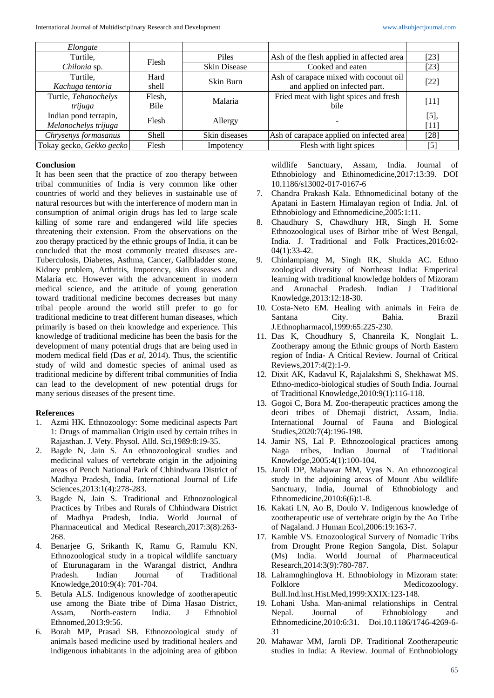| Elongate                 |        |                     |                                           |        |
|--------------------------|--------|---------------------|-------------------------------------------|--------|
| Turtile,                 | Flesh  | <b>Piles</b>        | Ash of the flesh applied in affected area | $[23]$ |
| Chilonia sp.             |        | <b>Skin Disease</b> | Cooked and eaten                          | $[23]$ |
| Turtile.                 | Hard   | Skin Burn           | Ash of carapace mixed with coconut oil    |        |
| Kachuga tentoria         | shell  |                     | and applied on infected part.             | $[22]$ |
| Turtle, Tehanochelys     | Flesh, | Malaria             | Fried meat with light spices and fresh    | $[11]$ |
| trijuga                  | Bile   |                     | bile                                      |        |
| Indian pond terrapin,    | Flesh  |                     |                                           | [5]    |
| Melanochelys trijuga     |        | Allergy             |                                           | $[11]$ |
| Chrysenys formasanus     | Shell  | Skin diseases       | Ash of carapace applied on infected area  | $[28]$ |
| Tokay gecko, Gekko gecko | Flesh  | Impotency           | Flesh with light spices                   | [5]    |

## **Conclusion**

It has been seen that the practice of zoo therapy between tribal communities of India is very common like other countries of world and they believes in sustainable use of natural resources but with the interference of modern man in consumption of animal origin drugs has led to large scale killing of some rare and endangered wild life species threatening their extension. From the observations on the zoo therapy practiced by the ethnic groups of India, it can be concluded that the most commonly treated diseases are-Tuberculosis, Diabetes, Asthma, Cancer, Gallbladder stone, Kidney problem, Arthritis, Impotency, skin diseases and Malaria etc. However with the advancement in modern medical science, and the attitude of young generation toward traditional medicine becomes decreases but many tribal people around the world still prefer to go for traditional medicine to treat different human diseases, which primarily is based on their knowledge and experience. This knowledge of traditional medicine has been the basis for the development of many potential drugs that are being used in modern medical field (Das *et al,* 2014). Thus, the scientific study of wild and domestic species of animal used as traditional medicine by different tribal communities of India can lead to the development of new potential drugs for many serious diseases of the present time.

# **References**

- 1. Azmi HK. Ethnozoology: Some medicinal aspects Part 1: Drugs of mammalian Origin used by certain tribes in Rajasthan. J. Vety. Physol. Alld. Sci,1989:8:19-35.
- 2. Bagde N, Jain S. An ethnozoological studies and medicinal values of vertebrate origin in the adjoining areas of Pench National Park of Chhindwara District of Madhya Pradesh, India. International Journal of Life Sciences,2013:1(4):278-283.
- 3. Bagde N, Jain S. Traditional and Ethnozoological Practices by Tribes and Rurals of Chhindwara District of Madhya Pradesh, India. World Journal of Pharmaceutical and Medical Research,2017:3(8):263- 268.
- 4. Benarjee G, Srikanth K, Ramu G, Ramulu KN. Ethnozoological study in a tropical wildlife sanctuary of Eturunagaram in the Warangal district, Andhra Pradesh. Indian Journal of Traditional Knowledge,2010:9(4): 701-704.
- 5. Betula ALS. Indigenous knowledge of zootherapeutic use among the Biate tribe of Dima Hasao District, Assam, North-eastern India. J Ethnobiol Ethnomed,2013:9:56.
- 6. Borah MP, Prasad SB. Ethnozoological study of animals based medicine used by traditional healers and indigenous inhabitants in the adjoining area of gibbon

wildlife Sanctuary, Assam, India. Journal of Ethnobiology and Ethinomedicine,2017:13:39. DOI 10.1186/s13002-017-0167-6

- 7. Chandra Prakash Kala. Ethnomedicinal botany of the Apatani in Eastern Himalayan region of India. Jnl. of Ethnobiology and Ethnomedicine,2005:1:11.
- 8. Chaudhury S, Chawdhury HR, Singh H. Some Ethnozoological uses of Birhor tribe of West Bengal, India. J. Traditional and Folk Practices,2016:02- 04(1):33-42.
- 9. Chinlampiang M, Singh RK, Shukla AC. Ethno zoological diversity of Northeast India: Emperical learning with traditional knowledge holders of Mizoram and Arunachal Pradesh. Indian J Traditional Knowledge,2013:12:18-30.
- 10. Costa-Neto EM. Healing with animals in Feira de Santana City. Bahia. Brazil J.Ethnopharmacol,1999:65:225-230.
- 11. Das K, Choudhury S, Chanreila K, Nonglait L. Zootherapy among the Ethnic groups of North Eastern region of India- A Critical Review. Journal of Critical Reviews,2017:4(2):1-9.
- 12. Dixit AK, Kadavul K, Rajalakshmi S, Shekhawat MS. Ethno-medico-biological studies of South India. Journal of Traditional Knowledge,2010:9(1):116-118.
- 13. Gogoi C, Bora M. Zoo-therapeutic practices among the deori tribes of Dhemaji district, Assam, India. International Journal of Fauna and Biological Studies,2020:7(4):196-198.
- 14. Jamir NS, Lal P. Ethnozoological practices among Naga tribes, Indian Journal of Traditional Knowledge,2005:4(1):100-104.
- 15. Jaroli DP, Mahawar MM, Vyas N. An ethnozoogical study in the adjoining areas of Mount Abu wildlife Sanctuary, India, Journal of Ethnobiology and Ethnomedicine,2010:6(6):1-8.
- 16. Kakati LN, Ao B, Doulo V. Indigenous knowledge of zootherapeutic use of vertebrate origin by the Ao Tribe of Nagaland. J Human Ecol,2006:19:163-7.
- 17. Kamble VS. Etnozoological Survery of Nomadic Tribs from Drought Prone Region Sangola, Dist. Solapur (Ms) India. World Journal of Pharmaceutical Research,2014:3(9):780-787.
- 18. Lalramnghinglova H. Ethnobiology in Mizoram state: Folklore Medicozoology. Bull.Ind.lnst.Hist.Med,1999:XXIX:123-148.
- 19. Lohani Usha. Man-animal relationships in Central Nepal. Journal of Ethnobiology and Ethnomedicine,2010:6:31. Doi.10.1186/1746-4269-6- 31
- 20. Mahawar MM, Jaroli DP. Traditional Zootherapeutic studies in India: A Review. Journal of Enthnobiology